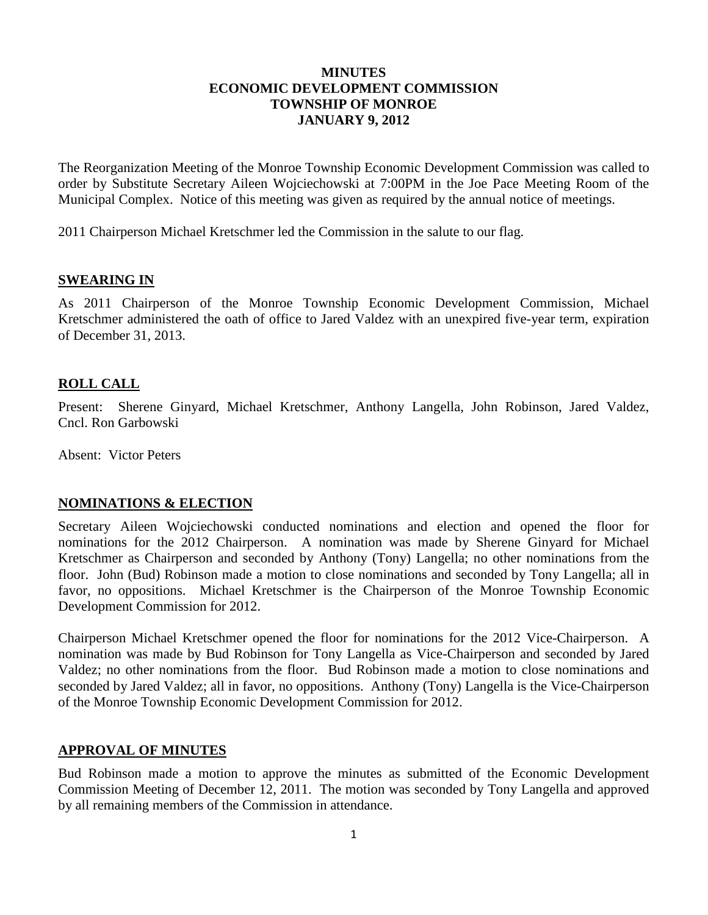## **MINUTES ECONOMIC DEVELOPMENT COMMISSION TOWNSHIP OF MONROE JANUARY 9, 2012**

The Reorganization Meeting of the Monroe Township Economic Development Commission was called to order by Substitute Secretary Aileen Wojciechowski at 7:00PM in the Joe Pace Meeting Room of the Municipal Complex. Notice of this meeting was given as required by the annual notice of meetings.

2011 Chairperson Michael Kretschmer led the Commission in the salute to our flag.

## **SWEARING IN**

As 2011 Chairperson of the Monroe Township Economic Development Commission, Michael Kretschmer administered the oath of office to Jared Valdez with an unexpired five-year term, expiration of December 31, 2013.

## **ROLL CALL**

Present: Sherene Ginyard, Michael Kretschmer, Anthony Langella, John Robinson, Jared Valdez, Cncl. Ron Garbowski

Absent: Victor Peters

## **NOMINATIONS & ELECTION**

Secretary Aileen Wojciechowski conducted nominations and election and opened the floor for nominations for the 2012 Chairperson. A nomination was made by Sherene Ginyard for Michael Kretschmer as Chairperson and seconded by Anthony (Tony) Langella; no other nominations from the floor. John (Bud) Robinson made a motion to close nominations and seconded by Tony Langella; all in favor, no oppositions. Michael Kretschmer is the Chairperson of the Monroe Township Economic Development Commission for 2012.

Chairperson Michael Kretschmer opened the floor for nominations for the 2012 Vice-Chairperson. A nomination was made by Bud Robinson for Tony Langella as Vice-Chairperson and seconded by Jared Valdez; no other nominations from the floor. Bud Robinson made a motion to close nominations and seconded by Jared Valdez; all in favor, no oppositions. Anthony (Tony) Langella is the Vice-Chairperson of the Monroe Township Economic Development Commission for 2012.

## **APPROVAL OF MINUTES**

Bud Robinson made a motion to approve the minutes as submitted of the Economic Development Commission Meeting of December 12, 2011. The motion was seconded by Tony Langella and approved by all remaining members of the Commission in attendance.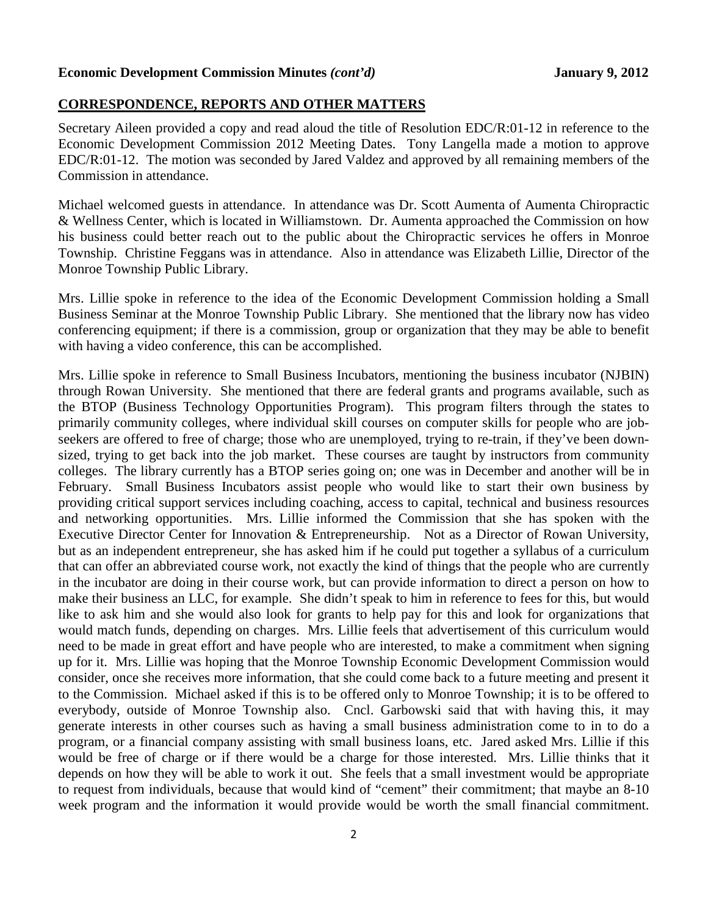#### **Economic Development Commission Minutes** *(cont'd)* **January 9, 2012**

#### **CORRESPONDENCE, REPORTS AND OTHER MATTERS**

Secretary Aileen provided a copy and read aloud the title of Resolution EDC/R:01-12 in reference to the Economic Development Commission 2012 Meeting Dates. Tony Langella made a motion to approve EDC/R:01-12. The motion was seconded by Jared Valdez and approved by all remaining members of the Commission in attendance.

Michael welcomed guests in attendance. In attendance was Dr. Scott Aumenta of Aumenta Chiropractic & Wellness Center, which is located in Williamstown. Dr. Aumenta approached the Commission on how his business could better reach out to the public about the Chiropractic services he offers in Monroe Township. Christine Feggans was in attendance. Also in attendance was Elizabeth Lillie, Director of the Monroe Township Public Library.

Mrs. Lillie spoke in reference to the idea of the Economic Development Commission holding a Small Business Seminar at the Monroe Township Public Library. She mentioned that the library now has video conferencing equipment; if there is a commission, group or organization that they may be able to benefit with having a video conference, this can be accomplished.

Mrs. Lillie spoke in reference to Small Business Incubators, mentioning the business incubator (NJBIN) through Rowan University. She mentioned that there are federal grants and programs available, such as the BTOP (Business Technology Opportunities Program). This program filters through the states to primarily community colleges, where individual skill courses on computer skills for people who are jobseekers are offered to free of charge; those who are unemployed, trying to re-train, if they've been downsized, trying to get back into the job market. These courses are taught by instructors from community colleges. The library currently has a BTOP series going on; one was in December and another will be in February. Small Business Incubators assist people who would like to start their own business by providing critical support services including coaching, access to capital, technical and business resources and networking opportunities. Mrs. Lillie informed the Commission that she has spoken with the Executive Director Center for Innovation & Entrepreneurship. Not as a Director of Rowan University, but as an independent entrepreneur, she has asked him if he could put together a syllabus of a curriculum that can offer an abbreviated course work, not exactly the kind of things that the people who are currently in the incubator are doing in their course work, but can provide information to direct a person on how to make their business an LLC, for example. She didn't speak to him in reference to fees for this, but would like to ask him and she would also look for grants to help pay for this and look for organizations that would match funds, depending on charges. Mrs. Lillie feels that advertisement of this curriculum would need to be made in great effort and have people who are interested, to make a commitment when signing up for it. Mrs. Lillie was hoping that the Monroe Township Economic Development Commission would consider, once she receives more information, that she could come back to a future meeting and present it to the Commission. Michael asked if this is to be offered only to Monroe Township; it is to be offered to everybody, outside of Monroe Township also. Cncl. Garbowski said that with having this, it may generate interests in other courses such as having a small business administration come to in to do a program, or a financial company assisting with small business loans, etc. Jared asked Mrs. Lillie if this would be free of charge or if there would be a charge for those interested. Mrs. Lillie thinks that it depends on how they will be able to work it out. She feels that a small investment would be appropriate to request from individuals, because that would kind of "cement" their commitment; that maybe an 8-10 week program and the information it would provide would be worth the small financial commitment.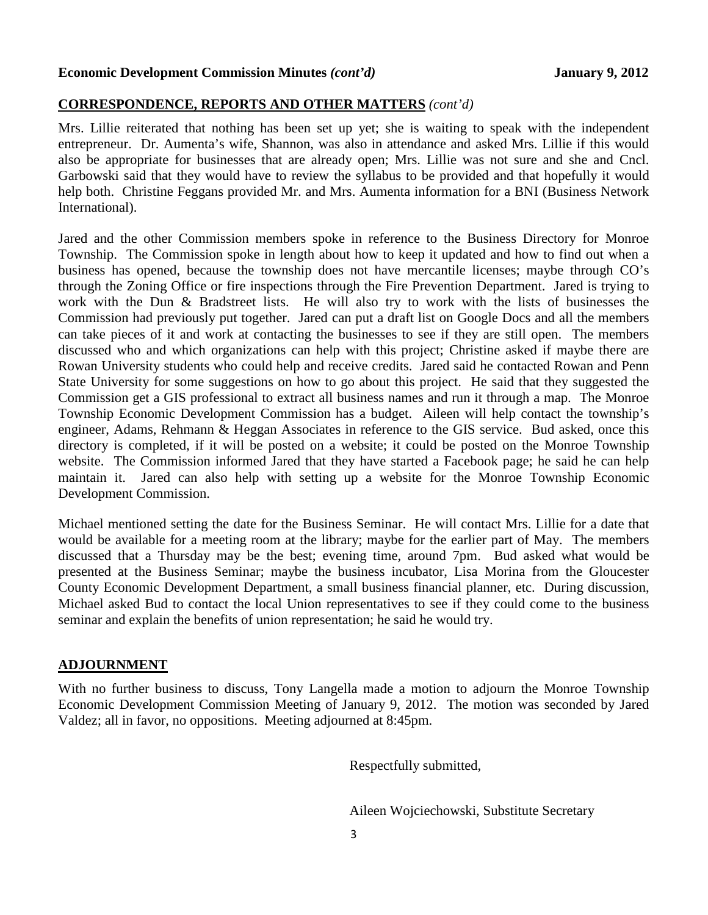#### **Economic Development Commission Minutes** *(cont'd)* **January 9, 2012**

## **CORRESPONDENCE, REPORTS AND OTHER MATTERS** *(cont'd)*

Mrs. Lillie reiterated that nothing has been set up yet; she is waiting to speak with the independent entrepreneur. Dr. Aumenta's wife, Shannon, was also in attendance and asked Mrs. Lillie if this would also be appropriate for businesses that are already open; Mrs. Lillie was not sure and she and Cncl. Garbowski said that they would have to review the syllabus to be provided and that hopefully it would help both. Christine Feggans provided Mr. and Mrs. Aumenta information for a BNI (Business Network International).

Jared and the other Commission members spoke in reference to the Business Directory for Monroe Township. The Commission spoke in length about how to keep it updated and how to find out when a business has opened, because the township does not have mercantile licenses; maybe through CO's through the Zoning Office or fire inspections through the Fire Prevention Department. Jared is trying to work with the Dun & Bradstreet lists. He will also try to work with the lists of businesses the Commission had previously put together. Jared can put a draft list on Google Docs and all the members can take pieces of it and work at contacting the businesses to see if they are still open. The members discussed who and which organizations can help with this project; Christine asked if maybe there are Rowan University students who could help and receive credits. Jared said he contacted Rowan and Penn State University for some suggestions on how to go about this project. He said that they suggested the Commission get a GIS professional to extract all business names and run it through a map. The Monroe Township Economic Development Commission has a budget. Aileen will help contact the township's engineer, Adams, Rehmann & Heggan Associates in reference to the GIS service. Bud asked, once this directory is completed, if it will be posted on a website; it could be posted on the Monroe Township website. The Commission informed Jared that they have started a Facebook page; he said he can help maintain it. Jared can also help with setting up a website for the Monroe Township Economic Development Commission.

Michael mentioned setting the date for the Business Seminar. He will contact Mrs. Lillie for a date that would be available for a meeting room at the library; maybe for the earlier part of May. The members discussed that a Thursday may be the best; evening time, around 7pm. Bud asked what would be presented at the Business Seminar; maybe the business incubator, Lisa Morina from the Gloucester County Economic Development Department, a small business financial planner, etc. During discussion, Michael asked Bud to contact the local Union representatives to see if they could come to the business seminar and explain the benefits of union representation; he said he would try.

#### **ADJOURNMENT**

With no further business to discuss, Tony Langella made a motion to adjourn the Monroe Township Economic Development Commission Meeting of January 9, 2012. The motion was seconded by Jared Valdez; all in favor, no oppositions. Meeting adjourned at 8:45pm.

Respectfully submitted,

Aileen Wojciechowski, Substitute Secretary